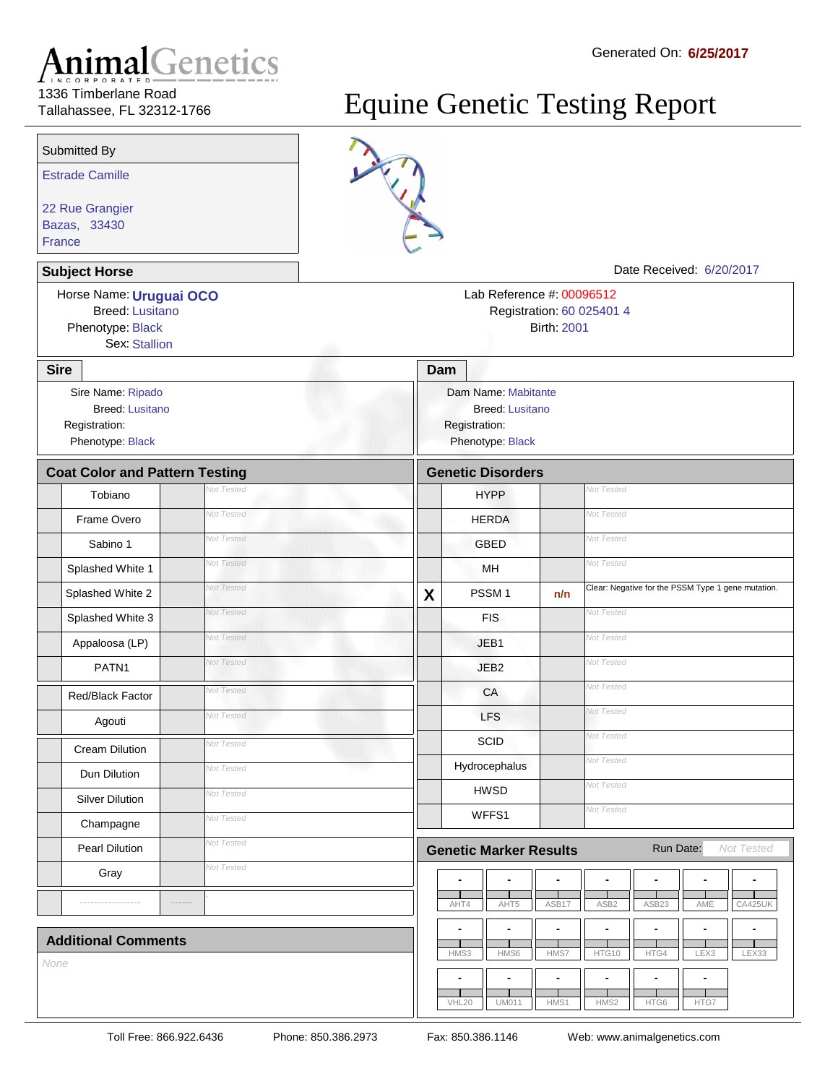## Tallahassee, FL 32312-1766

## Equine Genetic Testing Report



**France** 

Estrade Camille

Submitted By

22 Rue Grangier Bazas, 33430

> Horse Name: **Uruguai OCO** Phenotype: Black Birth: 2001

Sex: Stallion

**Subject Horse Contract Access 2008 Contract Access 2009 2017 Date Received: 6/20/2017** 

Registration: 60 025401 4 Lab Reference #: 00096512

| <b>Sire</b>                                                                      |                   | Dam                                                                                |                                  |                   |                                                    |                |                |                |
|----------------------------------------------------------------------------------|-------------------|------------------------------------------------------------------------------------|----------------------------------|-------------------|----------------------------------------------------|----------------|----------------|----------------|
| Sire Name: Ripado<br><b>Breed: Lusitano</b><br>Registration:<br>Phenotype: Black |                   | Dam Name: Mabitante<br><b>Breed: Lusitano</b><br>Registration:<br>Phenotype: Black |                                  |                   |                                                    |                |                |                |
| <b>Coat Color and Pattern Testing</b>                                            |                   |                                                                                    | <b>Genetic Disorders</b>         |                   |                                                    |                |                |                |
| Tobiano                                                                          | <b>Vot Tested</b> |                                                                                    | <b>HYPP</b>                      |                   | <b>Vot Tested</b>                                  |                |                |                |
| Frame Overo                                                                      | Not Tested        |                                                                                    | <b>HERDA</b>                     |                   | <b>Vot Tested</b>                                  |                |                |                |
| Sabino 1                                                                         | Not Tested        |                                                                                    | <b>GBED</b>                      |                   | <b>Vot Tested</b>                                  |                |                |                |
| Splashed White 1                                                                 | Not Tested        |                                                                                    | MH                               |                   | Not Tested                                         |                |                |                |
| Splashed White 2                                                                 | Not Tested        | $\overline{\mathbf{X}}$                                                            | PSSM <sub>1</sub>                | n/n               | Clear: Negative for the PSSM Type 1 gene mutation. |                |                |                |
| Splashed White 3                                                                 | Not Tested        |                                                                                    | <b>FIS</b>                       |                   | Not Tested                                         |                |                |                |
| Appaloosa (LP)                                                                   | Not Tested        |                                                                                    | JEB1                             |                   | <b>Vot Tested</b>                                  |                |                |                |
| PATN <sub>1</sub>                                                                | Not Tested        |                                                                                    | JEB <sub>2</sub>                 |                   | <b>Vot Tested</b>                                  |                |                |                |
| <b>Red/Black Factor</b>                                                          | Not Tested        |                                                                                    | CA                               |                   | <b>Vot Tested</b>                                  |                |                |                |
| Agouti                                                                           | Not Tested        |                                                                                    | <b>LFS</b>                       |                   | <b>Vot Tested</b>                                  |                |                |                |
| <b>Cream Dilution</b>                                                            | Not Tested        |                                                                                    | <b>Vot Tested</b><br><b>SCID</b> |                   |                                                    |                |                |                |
| Dun Dilution                                                                     | Not Tested        |                                                                                    | Hydrocephalus                    | <b>Vot Tested</b> |                                                    |                |                |                |
| <b>Silver Dilution</b>                                                           | Not Tested        |                                                                                    | <b>HWSD</b>                      |                   | Not Tested                                         |                |                |                |
| Champagne                                                                        | Not Tested        |                                                                                    | WFFS1                            |                   | Not Tested                                         |                |                |                |
| <b>Pearl Dilution</b>                                                            | Not Tested        |                                                                                    | <b>Genetic Marker Results</b>    |                   |                                                    | Run Date:      |                | Not Tested     |
| Gray                                                                             | Not Tested        |                                                                                    | $\blacksquare$<br>$\blacksquare$ | $\blacksquare$    | $\overline{\phantom{a}}$                           | $\overline{a}$ | ÷,             | $\blacksquare$ |
|                                                                                  |                   |                                                                                    | AHT4<br>AHT5                     | ASB17             | ASB <sub>2</sub>                                   | ASB23          | AME            | CA425UK        |
| <b>Additional Comments</b>                                                       |                   |                                                                                    | $\blacksquare$<br>$\blacksquare$ | Ĭ.                | $\blacksquare$                                     | Ĭ.             | $\blacksquare$ | L.             |
| None                                                                             |                   |                                                                                    | HMS6<br>HMS3                     | HMS7              | HTG10                                              | HTG4           | LEX3           | LEX33          |
|                                                                                  |                   |                                                                                    | $\blacksquare$<br>$\blacksquare$ | $\blacksquare$    |                                                    |                | $\blacksquare$ |                |

UM011

 $\mathbf{L}$ 

HMS1

HMS2

VHL20

HTG6

 $\frac{1}{\text{HTG7}}$